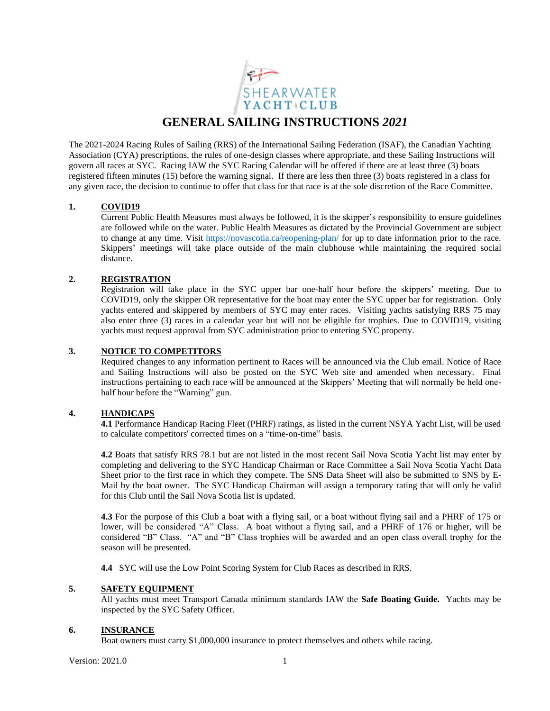

The 2021-2024 Racing Rules of Sailing (RRS) of the International Sailing Federation (ISAF), the Canadian Yachting Association (CYA) prescriptions, the rules of one-design classes where appropriate, and these Sailing Instructions will govern all races at SYC. Racing IAW the SYC Racing Calendar will be offered if there are at least three (3) boats registered fifteen minutes (15) before the warning signal. If there are less then three (3) boats registered in a class for any given race, the decision to continue to offer that class for that race is at the sole discretion of the Race Committee.

# **1. COVID19**

Current Public Health Measures must always be followed, it is the skipper's responsibility to ensure guidelines are followed while on the water. Public Health Measures as dictated by the Provincial Government are subject to change at any time. Visit<https://novascotia.ca/reopening-plan/> for up to date information prior to the race. Skippers' meetings will take place outside of the main clubhouse while maintaining the required social distance.

# **2. REGISTRATION**

Registration will take place in the SYC upper bar one-half hour before the skippers' meeting. Due to COVID19, only the skipper OR representative for the boat may enter the SYC upper bar for registration. Only yachts entered and skippered by members of SYC may enter races. Visiting yachts satisfying RRS 75 may also enter three (3) races in a calendar year but will not be eligible for trophies. Due to COVID19, visiting yachts must request approval from SYC administration prior to entering SYC property.

### **3. NOTICE TO COMPETITORS**

Required changes to any information pertinent to Races will be announced via the Club email. Notice of Race and Sailing Instructions will also be posted on the SYC Web site and amended when necessary. Final instructions pertaining to each race will be announced at the Skippers' Meeting that will normally be held onehalf hour before the "Warning" gun.

# **4. HANDICAPS**

**4.1** Performance Handicap Racing Fleet (PHRF) ratings, as listed in the current NSYA Yacht List, will be used to calculate competitors' corrected times on a "time-on-time" basis.

**4.2** Boats that satisfy RRS 78.1 but are not listed in the most recent Sail Nova Scotia Yacht list may enter by completing and delivering to the SYC Handicap Chairman or Race Committee a Sail Nova Scotia Yacht Data Sheet prior to the first race in which they compete. The SNS Data Sheet will also be submitted to SNS by E-Mail by the boat owner. The SYC Handicap Chairman will assign a temporary rating that will only be valid for this Club until the Sail Nova Scotia list is updated.

 **4.3** For the purpose of this Club a boat with a flying sail, or a boat without flying sail and a PHRF of 175 or lower, will be considered "A" Class. A boat without a flying sail, and a PHRF of 176 or higher, will be considered "B" Class. "A" and "B" Class trophies will be awarded and an open class overall trophy for the season will be presented.

**4.4** SYC will use the Low Point Scoring System for Club Races as described in RRS.

# **5. SAFETY EQUIPMENT**

All yachts must meet Transport Canada minimum standards IAW the **Safe Boating Guide.** Yachts may be inspected by the SYC Safety Officer.

#### **6. INSURANCE**

Boat owners must carry \$1,000,000 insurance to protect themselves and others while racing.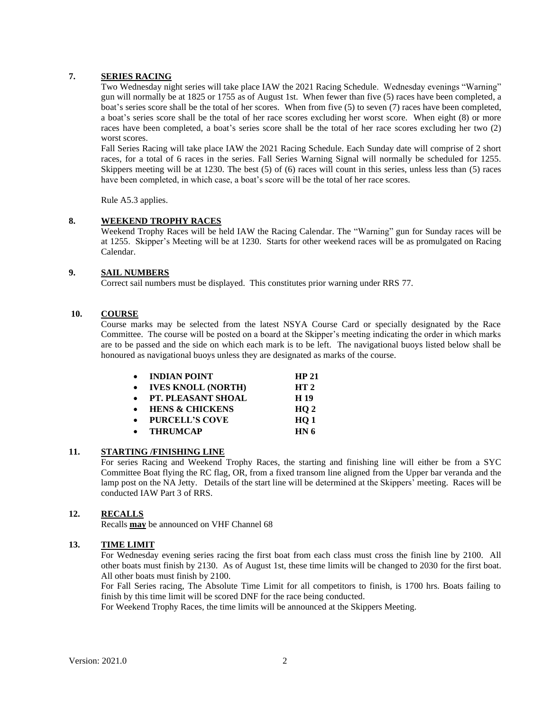# **7. SERIES RACING**

Two Wednesday night series will take place IAW the 2021 Racing Schedule. Wednesday evenings "Warning" gun will normally be at 1825 or 1755 as of August 1st. When fewer than five (5) races have been completed, a boat's series score shall be the total of her scores. When from five (5) to seven (7) races have been completed, a boat's series score shall be the total of her race scores excluding her worst score. When eight (8) or more races have been completed, a boat's series score shall be the total of her race scores excluding her two (2) worst scores.

Fall Series Racing will take place IAW the 2021 Racing Schedule. Each Sunday date will comprise of 2 short races, for a total of 6 races in the series. Fall Series Warning Signal will normally be scheduled for 1255. Skippers meeting will be at 1230. The best (5) of (6) races will count in this series, unless less than (5) races have been completed, in which case, a boat's score will be the total of her race scores.

Rule A5.3 applies.

### **8. WEEKEND TROPHY RACES**

Weekend Trophy Races will be held IAW the Racing Calendar. The "Warning" gun for Sunday races will be at 1255. Skipper's Meeting will be at 1230. Starts for other weekend races will be as promulgated on Racing Calendar.

### **9. SAIL NUMBERS**

Correct sail numbers must be displayed. This constitutes prior warning under RRS 77.

# **10. COURSE**

Course marks may be selected from the latest NSYA Course Card or specially designated by the Race Committee. The course will be posted on a board at the Skipper's meeting indicating the order in which marks are to be passed and the side on which each mark is to be left. The navigational buoys listed below shall be honoured as navigational buoys unless they are designated as marks of the course.

| <b>INDIAN POINT</b>        | <b>HP 21</b>    |
|----------------------------|-----------------|
| <b>IVES KNOLL (NORTH)</b>  | HT <sub>2</sub> |
| <b>PT. PLEASANT SHOAL</b>  | H 19            |
| <b>HENS &amp; CHICKENS</b> | HO <sub>2</sub> |
| <b>PURCELL'S COVE</b>      | HO <sub>1</sub> |
| <b>THRUMCAP</b>            | HN <sub>6</sub> |

# **11. STARTING /FINISHING LINE**

For series Racing and Weekend Trophy Races, the starting and finishing line will either be from a SYC Committee Boat flying the RC flag, OR, from a fixed transom line aligned from the Upper bar veranda and the lamp post on the NA Jetty. Details of the start line will be determined at the Skippers' meeting. Races will be conducted IAW Part 3 of RRS.

# **12. RECALLS**

Recalls **may** be announced on VHF Channel 68

#### **13. TIME LIMIT**

For Wednesday evening series racing the first boat from each class must cross the finish line by 2100. All other boats must finish by 2130. As of August 1st, these time limits will be changed to 2030 for the first boat. All other boats must finish by 2100.

For Fall Series racing, The Absolute Time Limit for all competitors to finish, is 1700 hrs. Boats failing to finish by this time limit will be scored DNF for the race being conducted.

For Weekend Trophy Races, the time limits will be announced at the Skippers Meeting.